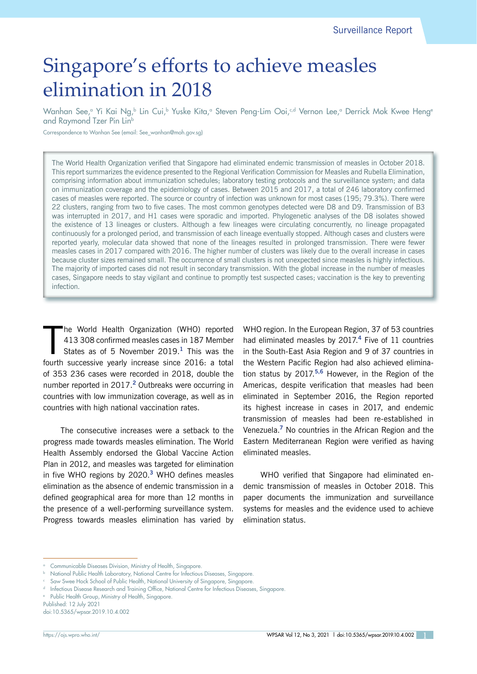# Singapore's efforts to achieve measles elimination in 2018

Wanhan See,ª Yi Kai Ng,♭ Lin Cui,♭ Yuske Kita,ª Steven Peng-Lim Ooi,∽d Vernon Lee,ª Derrick Mok Kwee Hengª and Raymond Tzer Pin Linb

Correspondence to Wanhan See (email: See\_wanhan@moh.gov.sg)

The World Health Organization verified that Singapore had eliminated endemic transmission of measles in October 2018. This report summarizes the evidence presented to the Regional Verification Commission for Measles and Rubella Elimination, comprising information about immunization schedules; laboratory testing protocols and the surveillance system; and data on immunization coverage and the epidemiology of cases. Between 2015 and 2017, a total of 246 laboratory confirmed cases of measles were reported. The source or country of infection was unknown for most cases (195; 79.3%). There were 22 clusters, ranging from two to five cases. The most common genotypes detected were D8 and D9. Transmission of B3 was interrupted in 2017, and H1 cases were sporadic and imported. Phylogenetic analyses of the D8 isolates showed the existence of 13 lineages or clusters. Although a few lineages were circulating concurrently, no lineage propagated continuously for a prolonged period, and transmission of each lineage eventually stopped. Although cases and clusters were reported yearly, molecular data showed that none of the lineages resulted in prolonged transmission. There were fewer measles cases in 2017 compared with 2016. The higher number of clusters was likely due to the overall increase in cases because cluster sizes remained small. The occurrence of small clusters is not unexpected since measles is highly infectious. The majority of imported cases did not result in secondary transmission. With the global increase in the number of measles cases, Singapore needs to stay vigilant and continue to promptly test suspected cases; vaccination is the key to preventing infection.

The World Health Organization (WHO) reported 413 308 confirmed measles cases in 187 Member<br>States as of 5 November 2019.<sup>1</sup> This was the fourth successive yearly increase since 2016: a total he World Health Organization (WHO) reported 413 308 confirmed measles cases in 187 Member States as of 5 November 2019.**<sup>1</sup>** This was the of 353 236 cases were recorded in 2018, double the number reported in 2017.**<sup>2</sup>** Outbreaks were occurring in countries with low immunization coverage, as well as in countries with high national vaccination rates.

The consecutive increases were a setback to the progress made towards measles elimination. The World Health Assembly endorsed the Global Vaccine Action Plan in 2012, and measles was targeted for elimination in five WHO regions by 2020.**<sup>3</sup>** WHO defines measles elimination as the absence of endemic transmission in a defined geographical area for more than 12 months in the presence of a well-performing surveillance system. Progress towards measles elimination has varied by WHO region. In the European Region, 37 of 53 countries had eliminated measles by 2017.**<sup>4</sup>** Five of 11 countries in the South-East Asia Region and 9 of 37 countries in the Western Pacific Region had also achieved elimination status by 2017.**5,6** However, in the Region of the Americas, despite verification that measles had been eliminated in September 2016, the Region reported its highest increase in cases in 2017, and endemic transmission of measles had been re-established in Venezuela.**<sup>7</sup>** No countries in the African Region and the Eastern Mediterranean Region were verified as having eliminated measles.

WHO verified that Singapore had eliminated endemic transmission of measles in October 2018. This paper documents the immunization and surveillance systems for measles and the evidence used to achieve elimination status.

Published: 12 July 2021 doi:10.5365/wpsar.2019.10.4.002

<sup>a</sup> Communicable Diseases Division, Ministry of Health, Singapore.

National Public Health Laboratory, National Centre for Infectious Diseases, Singapore.

Saw Swee Hock School of Public Health, National University of Singapore, Singapore.

Infectious Disease Research and Training Office, National Centre for Infectious Diseases, Singapore.

<sup>e</sup> Public Health Group, Ministry of Health, Singapore.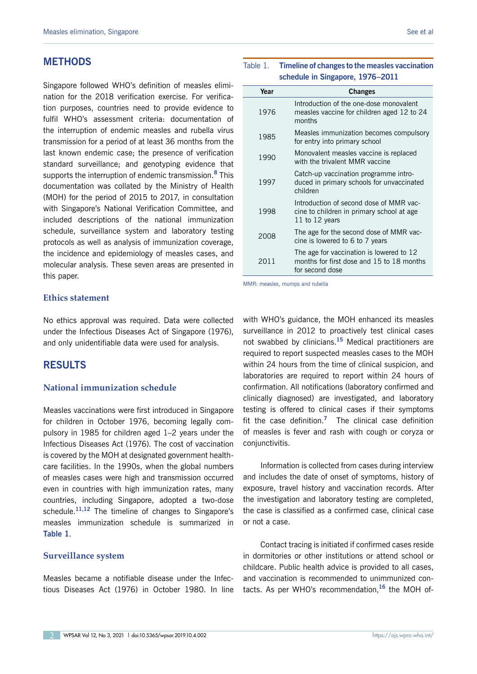### **METHODS**

Singapore followed WHO's definition of measles elimination for the 2018 verification exercise. For verification purposes, countries need to provide evidence to fulfil WHO's assessment criteria: documentation of the interruption of endemic measles and rubella virus transmission for a period of at least 36 months from the last known endemic case; the presence of verification standard surveillance; and genotyping evidence that supports the interruption of endemic transmission.**<sup>8</sup>** This documentation was collated by the Ministry of Health (MOH) for the period of 2015 to 2017, in consultation with Singapore's National Verification Committee, and included descriptions of the national immunization schedule, surveillance system and laboratory testing protocols as well as analysis of immunization coverage, the incidence and epidemiology of measles cases, and molecular analysis. These seven areas are presented in this paper.

#### **Ethics statement**

No ethics approval was required. Data were collected under the Infectious Diseases Act of Singapore (1976), and only unidentifiable data were used for analysis.

## **RESULTS**

#### **National immunization schedule**

Measles vaccinations were first introduced in Singapore for children in October 1976, becoming legally compulsory in 1985 for children aged 1–2 years under the Infectious Diseases Act (1976). The cost of vaccination is covered by the MOH at designated government healthcare facilities. In the 1990s, when the global numbers of measles cases were high and transmission occurred even in countries with high immunization rates, many countries, including Singapore, adopted a two-dose schedule.**11,12** The timeline of changes to Singapore's measles immunization schedule is summarized in **Table 1**.

#### **Surveillance system**

Measles became a notifiable disease under the Infectious Diseases Act (1976) in October 1980. In line

#### Table 1. **Timeline of changes to the measles vaccination schedule in Singapore, 1976–2011**

| Year | <b>Changes</b>                                                                                           |  |  |
|------|----------------------------------------------------------------------------------------------------------|--|--|
| 1976 | Introduction of the one-dose monovalent<br>measles vaccine for children aged 12 to 24<br>months          |  |  |
| 1985 | Measles immunization becomes compulsory<br>for entry into primary school                                 |  |  |
| 1990 | Monovalent measles vaccine is replaced<br>with the trivalent MMR vaccine                                 |  |  |
| 1997 | Catch-up vaccination programme intro-<br>duced in primary schools for unvaccinated<br>children           |  |  |
| 1998 | Introduction of second dose of MMR vac-<br>cine to children in primary school at age<br>11 to 12 years   |  |  |
| 2008 | The age for the second dose of MMR vac-<br>cine is lowered to 6 to 7 years                               |  |  |
| 2011 | The age for vaccination is lowered to 12<br>months for first dose and 15 to 18 months<br>for second dose |  |  |

MMR: measles, mumps and rubella

with WHO's guidance, the MOH enhanced its measles surveillance in 2012 to proactively test clinical cases not swabbed by clinicians.**<sup>15</sup>** Medical practitioners are required to report suspected measles cases to the MOH within 24 hours from the time of clinical suspicion, and laboratories are required to report within 24 hours of confirmation. All notifications (laboratory confirmed and clinically diagnosed) are investigated, and laboratory testing is offered to clinical cases if their symptoms fit the case definition.**<sup>7</sup>** The clinical case definition of measles is fever and rash with cough or coryza or conjunctivitis.

Information is collected from cases during interview and includes the date of onset of symptoms, history of exposure, travel history and vaccination records. After the investigation and laboratory testing are completed, the case is classified as a confirmed case, clinical case or not a case.

Contact tracing is initiated if confirmed cases reside in dormitories or other institutions or attend school or childcare. Public health advice is provided to all cases, and vaccination is recommended to unimmunized contacts. As per WHO's recommendation,**<sup>16</sup>** the MOH of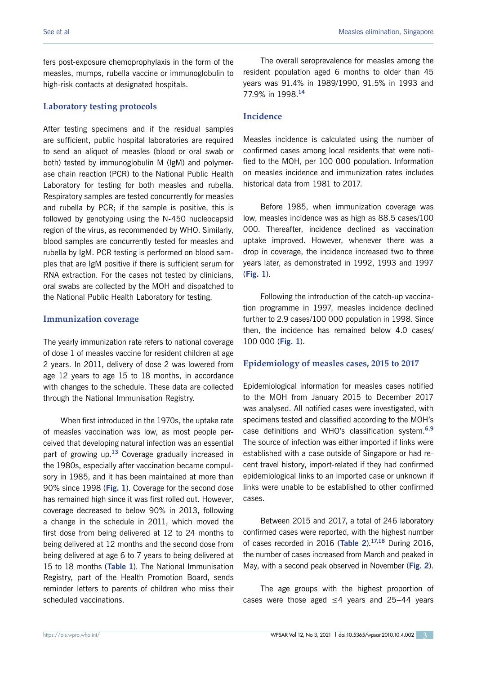fers post-exposure chemoprophylaxis in the form of the measles, mumps, rubella vaccine or immunoglobulin to high-risk contacts at designated hospitals.

#### **Laboratory testing protocols**

After testing specimens and if the residual samples are sufficient, public hospital laboratories are required to send an aliquot of measles (blood or oral swab or both) tested by immunoglobulin M (IgM) and polymerase chain reaction (PCR) to the National Public Health Laboratory for testing for both measles and rubella. Respiratory samples are tested concurrently for measles and rubella by PCR; if the sample is positive, this is followed by genotyping using the N-450 nucleocapsid region of the virus, as recommended by WHO. Similarly, blood samples are concurrently tested for measles and rubella by IgM. PCR testing is performed on blood samples that are IgM positive if there is sufficient serum for RNA extraction. For the cases not tested by clinicians, oral swabs are collected by the MOH and dispatched to the National Public Health Laboratory for testing.

#### **Immunization coverage**

The yearly immunization rate refers to national coverage of dose 1 of measles vaccine for resident children at age 2 years. In 2011, delivery of dose 2 was lowered from age 12 years to age 15 to 18 months, in accordance with changes to the schedule. These data are collected through the National Immunisation Registry.

When first introduced in the 1970s, the uptake rate of measles vaccination was low, as most people perceived that developing natural infection was an essential part of growing up.**<sup>13</sup>** Coverage gradually increased in the 1980s, especially after vaccination became compulsory in 1985, and it has been maintained at more than 90% since 1998 (**Fig. 1**). Coverage for the second dose has remained high since it was first rolled out. However, coverage decreased to below 90% in 2013, following a change in the schedule in 2011, which moved the first dose from being delivered at 12 to 24 months to being delivered at 12 months and the second dose from being delivered at age 6 to 7 years to being delivered at 15 to 18 months (**Table 1**). The National Immunisation Registry, part of the Health Promotion Board, sends reminder letters to parents of children who miss their scheduled vaccinations.

The overall seroprevalence for measles among the resident population aged 6 months to older than 45 years was 91.4% in 1989/1990, 91.5% in 1993 and 77.9% in 1998.**<sup>14</sup>**

#### **Incidence**

Measles incidence is calculated using the number of confirmed cases among local residents that were notified to the MOH, per 100 000 population. Information on measles incidence and immunization rates includes historical data from 1981 to 2017.

Before 1985, when immunization coverage was low, measles incidence was as high as 88.5 cases/100 000. Thereafter, incidence declined as vaccination uptake improved. However, whenever there was a drop in coverage, the incidence increased two to three years later, as demonstrated in 1992, 1993 and 1997 (**Fig. 1**).

Following the introduction of the catch-up vaccination programme in 1997, measles incidence declined further to 2.9 cases/100 000 population in 1998. Since then, the incidence has remained below 4.0 cases/ 100 000 (**Fig. 1**).

#### **Epidemiology of measles cases, 2015 to 2017**

Epidemiological information for measles cases notified to the MOH from January 2015 to December 2017 was analysed. All notified cases were investigated, with specimens tested and classified according to the MOH's case definitions and WHO's classification system.**6,9** The source of infection was either imported if links were established with a case outside of Singapore or had recent travel history, import-related if they had confirmed epidemiological links to an imported case or unknown if links were unable to be established to other confirmed cases.

Between 2015 and 2017, a total of 246 laboratory confirmed cases were reported, with the highest number of cases recorded in 2016 (**Table 2**).**17,18** During 2016, the number of cases increased from March and peaked in May, with a second peak observed in November (**Fig. 2**).

The age groups with the highest proportion of cases were those aged ≤4 years and 25–44 years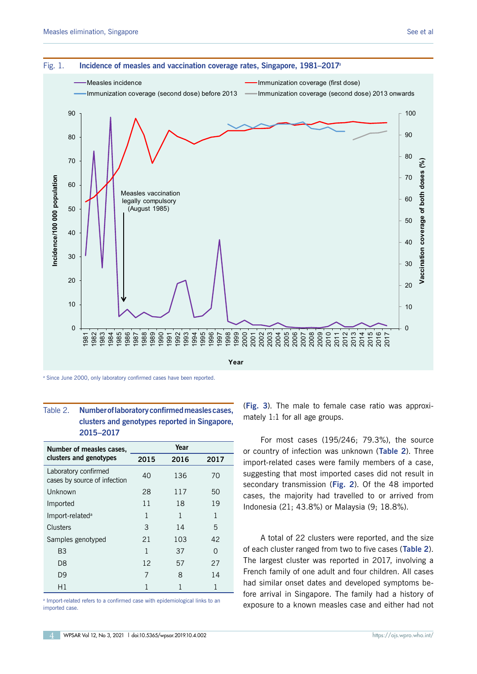

<sup>a</sup> Since June 2000, only laboratory confirmed cases have been reported.

#### Table 2. **Number of laboratory confirmed measles cases, clusters and genotypes reported in Singapore, 2015–2017**

| Number of measles cases,                             | Year |      |      |
|------------------------------------------------------|------|------|------|
| clusters and genotypes                               | 2015 | 2016 | 2017 |
| Laboratory confirmed<br>cases by source of infection | 40   | 136  | 70   |
| Unknown                                              | 28   | 117  | 50   |
| Imported                                             | 11   | 18   | 19   |
| Import-related <sup>a</sup>                          | 1    | 1    | 1    |
| Clusters                                             | 3    | 14   | 5    |
| Samples genotyped                                    | 21   | 103  | 42   |
| B <sub>3</sub>                                       | 1    | 37   | O    |
| D <sub>8</sub>                                       | 12   | 57   | 27   |
| D <sub>9</sub>                                       | 7    | 8    | 14   |
| Η1                                                   | 1    | 1    | 1    |

<sup>a</sup> Import-related refers to a confirmed case with epidemiological links to an imported case.

(**Fig. 3**). The male to female case ratio was approximately 1:1 for all age groups.

For most cases (195/246; 79.3%), the source or country of infection was unknown (**Table 2**). Three import-related cases were family members of a case, suggesting that most imported cases did not result in secondary transmission (**Fig. 2**). Of the 48 imported cases, the majority had travelled to or arrived from Indonesia (21; 43.8%) or Malaysia (9; 18.8%).

A total of 22 clusters were reported, and the size of each cluster ranged from two to five cases (**Table 2**). The largest cluster was reported in 2017, involving a French family of one adult and four children. All cases had similar onset dates and developed symptoms before arrival in Singapore. The family had a history of exposure to a known measles case and either had not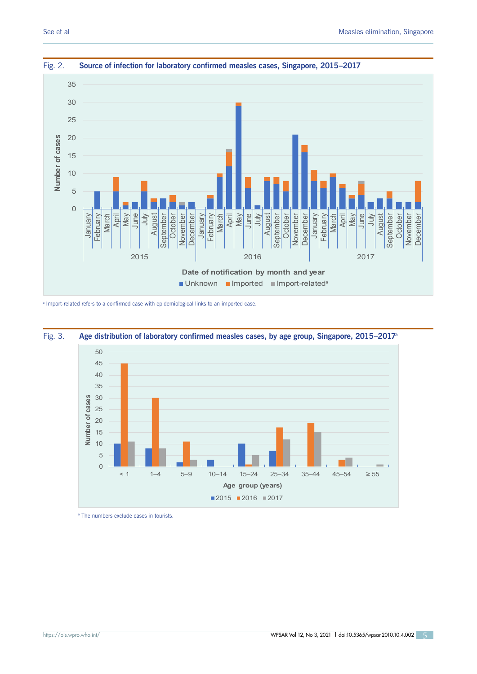



<sup>a</sup> Import-related refers to a confirmed case with epidemiological links to an imported case.



Fig. 3. Age distribution of laboratory confirmed measles cases, by age group, Singapore, 2015–2017<sup>a</sup>

a The numbers exclude cases in tourists.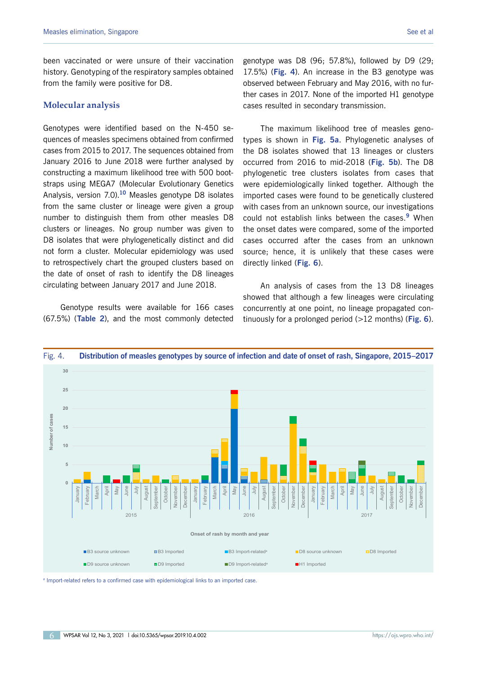been vaccinated or were unsure of their vaccination history. Genotyping of the respiratory samples obtained from the family were positive for D8.

#### **Molecular analysis**

Genotypes were identified based on the N-450 sequences of measles specimens obtained from confirmed cases from 2015 to 2017. The sequences obtained from January 2016 to June 2018 were further analysed by constructing a maximum likelihood tree with 500 bootstraps using MEGA7 (Molecular Evolutionary Genetics Analysis, version 7.0).**<sup>10</sup>** Measles genotype D8 isolates from the same cluster or lineage were given a group number to distinguish them from other measles D8 clusters or lineages. No group number was given to D8 isolates that were phylogenetically distinct and did not form a cluster. Molecular epidemiology was used to retrospectively chart the grouped clusters based on the date of onset of rash to identify the D8 lineages circulating between January 2017 and June 2018.

Genotype results were available for 166 cases (67.5%) (**Table 2**), and the most commonly detected genotype was D8 (96; 57.8%), followed by D9 (29; 17.5%) (**Fig. 4**). An increase in the B3 genotype was observed between February and May 2016, with no further cases in 2017. None of the imported H1 genotype cases resulted in secondary transmission.

The maximum likelihood tree of measles genotypes is shown in **Fig. 5a**. Phylogenetic analyses of the D8 isolates showed that 13 lineages or clusters occurred from 2016 to mid-2018 (**Fig. 5b**). The D8 phylogenetic tree clusters isolates from cases that were epidemiologically linked together. Although the imported cases were found to be genetically clustered with cases from an unknown source, our investigations could not establish links between the cases.**<sup>9</sup>** When the onset dates were compared, some of the imported cases occurred after the cases from an unknown source; hence, it is unlikely that these cases were directly linked (**Fig. 6**).

An analysis of cases from the 13 D8 lineages showed that although a few lineages were circulating concurrently at one point, no lineage propagated continuously for a prolonged period (>12 months) (**Fig. 6**).



<sup>a</sup> Import-related refers to a confirmed case with epidemiological links to an imported case.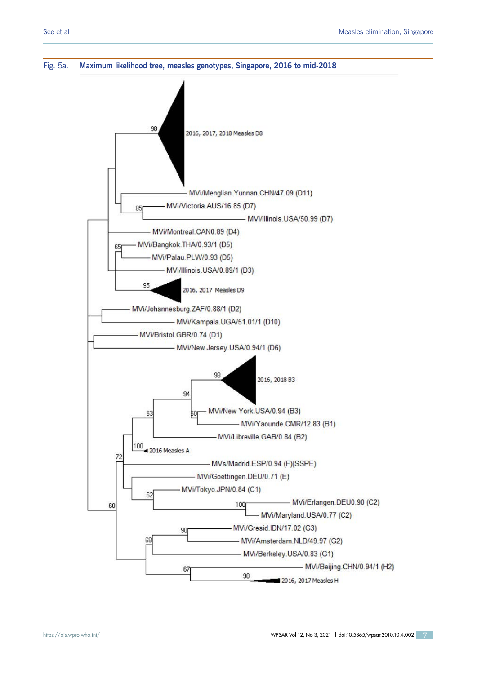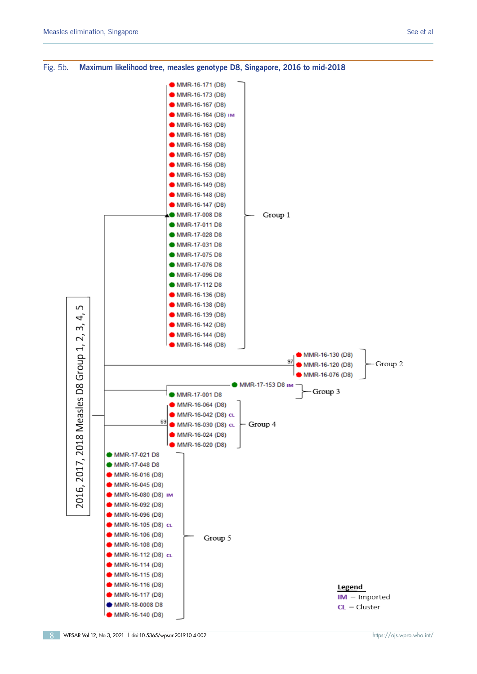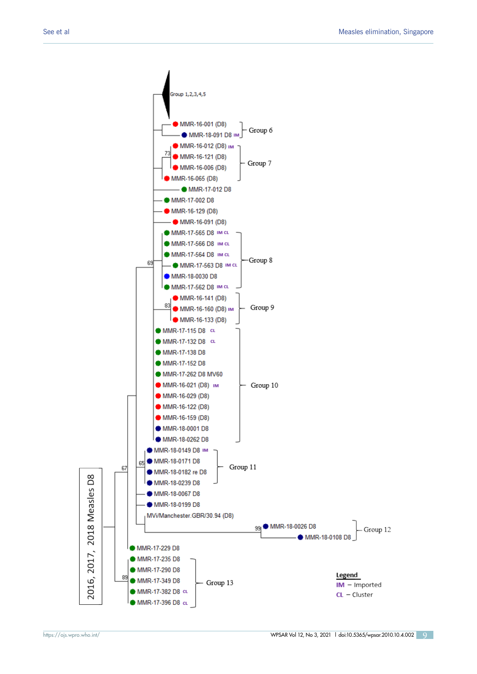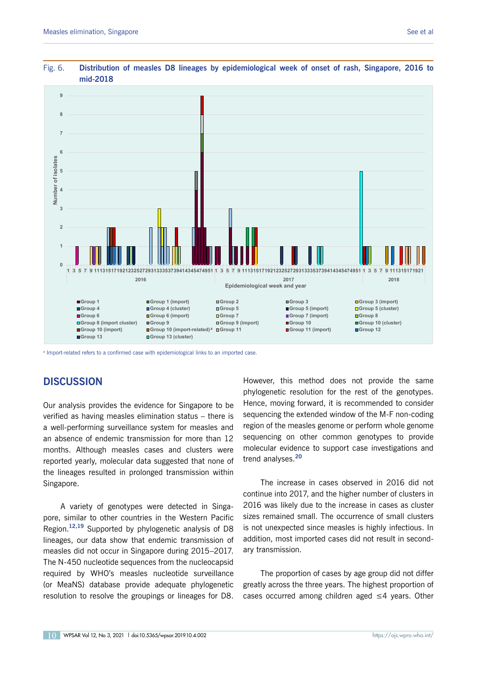



#### Fig. 6. **Distribution of measles D8 lineages by epidemiological week of onset of rash, Singapore, 2016 to mid-2018**

<sup>a</sup> Import-related refers to a confirmed case with epidemiological links to an imported case.

# **DISCUSSION**

Our analysis provides the evidence for Singapore to be verified as having measles elimination status – there is a well-performing surveillance system for measles and an absence of endemic transmission for more than 12 months. Although measles cases and clusters were reported yearly, molecular data suggested that none of the lineages resulted in prolonged transmission within Singapore.

A variety of genotypes were detected in Singapore, similar to other countries in the Western Pacific Region.**12,19** Supported by phylogenetic analysis of D8 lineages, our data show that endemic transmission of measles did not occur in Singapore during 2015–2017. The N-450 nucleotide sequences from the nucleocapsid required by WHO's measles nucleotide surveillance (or MeaNS) database provide adequate phylogenetic resolution to resolve the groupings or lineages for D8.

However, this method does not provide the same phylogenetic resolution for the rest of the genotypes. Hence, moving forward, it is recommended to consider sequencing the extended window of the M-F non-coding region of the measles genome or perform whole genome sequencing on other common genotypes to provide molecular evidence to support case investigations and trend analyses.**<sup>20</sup>**

The increase in cases observed in 2016 did not continue into 2017, and the higher number of clusters in 2016 was likely due to the increase in cases as cluster sizes remained small. The occurrence of small clusters is not unexpected since measles is highly infectious. In addition, most imported cases did not result in secondary transmission.

The proportion of cases by age group did not differ greatly across the three years. The highest proportion of cases occurred among children aged ≤4 years. Other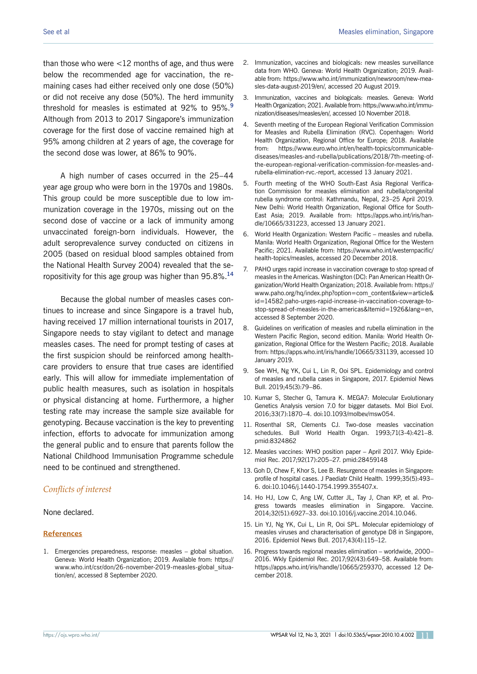than those who were <12 months of age, and thus were below the recommended age for vaccination, the remaining cases had either received only one dose (50%) or did not receive any dose (50%). The herd immunity threshold for measles is estimated at 92% to 95%.**<sup>9</sup>** Although from 2013 to 2017 Singapore's immunization coverage for the first dose of vaccine remained high at 95% among children at 2 years of age, the coverage for the second dose was lower, at 86% to 90%.

A high number of cases occurred in the 25–44 year age group who were born in the 1970s and 1980s. This group could be more susceptible due to low immunization coverage in the 1970s, missing out on the second dose of vaccine or a lack of immunity among unvaccinated foreign-born individuals. However, the adult seroprevalence survey conducted on citizens in 2005 (based on residual blood samples obtained from the National Health Survey 2004) revealed that the seropositivity for this age group was higher than 95.8%.**<sup>14</sup>**

Because the global number of measles cases continues to increase and since Singapore is a travel hub, having received 17 million international tourists in 2017, Singapore needs to stay vigilant to detect and manage measles cases. The need for prompt testing of cases at the first suspicion should be reinforced among healthcare providers to ensure that true cases are identified early. This will allow for immediate implementation of public health measures, such as isolation in hospitals or physical distancing at home. Furthermore, a higher testing rate may increase the sample size available for genotyping. Because vaccination is the key to preventing infection, efforts to advocate for immunization among the general public and to ensure that parents follow the National Childhood Immunisation Programme schedule need to be continued and strengthened.

#### *Conflicts of interest*

None declared.

#### **References**

1. Emergencies preparedness, response: measles – global situation. Geneva: World Health Organization; 2019. Available from: https:// www.who.int/csr/don/26-november-2019-measles-global\_situation/en/, accessed 8 September 2020.

- 2. Immunization, vaccines and biologicals: new measles surveillance data from WHO. Geneva: World Health Organization; 2019. Available from: https://www.who.int/immunization/newsroom/new-measles-data-august-2019/en/, accessed 20 August 2019.
- 3. Immunization, vaccines and biologicals: measles. Geneva: World Health Organization; 2021. Available from: https://www.who.int/immunization/diseases/measles/en/, accessed 10 November 2018.
- 4. Seventh meeting of the European Regional Verification Commission for Measles and Rubella Elimination (RVC). Copenhagen: World Health Organization, Regional Office for Europe; 2018. Available from: https://www.euro.who.int/en/health-topics/communicablediseases/measles-and-rubella/publications/2018/7th-meeting-ofthe-european-regional-verification-commission-for-measles-andrubella-elimination-rvc.-report, accessed 13 January 2021.
- 5. Fourth meeting of the WHO South-East Asia Regional Verification Commission for measles elimination and rubella/congenital rubella syndrome control: Kathmandu, Nepal, 23–25 April 2019. New Delhi: World Health Organization, Regional Office for South-East Asia; 2019. Available from: https://apps.who.int/iris/handle/10665/331223, accessed 13 January 2021.
- 6. World Health Organization: Western Pacific measles and rubella. Manila: World Health Organization, Regional Office for the Western Pacific; 2021. Available from: https://www.who.int/westernpacific/ health-topics/measles, accessed 20 December 2018.
- 7. PAHO urges rapid increase in vaccination coverage to stop spread of measles in the Americas. Washington (DC): Pan American Health Organization/World Health Organization; 2018. Available from: https:// www.paho.org/hq/index.php?option=com\_content&view=article& id=14582:paho-urges-rapid-increase-in-vaccination-coverage-tostop-spread-of-measles-in-the-americas&Itemid=1926&lang=en, accessed 8 September 2020.
- 8. Guidelines on verification of measles and rubella elimination in the Western Pacific Region, second edition. Manila: World Health Organization, Regional Office for the Western Pacific; 2018. Available from: https://apps.who.int/iris/handle/10665/331139, accessed 10 January 2019.
- 9. See WH, Ng YK, Cui L, Lin R, Ooi SPL. Epidemiology and control of measles and rubella cases in Singapore, 2017. Epidemiol News Bull. 2019;45(3):79–86.
- 10. Kumar S, Stecher G, Tamura K. MEGA7: Molecular Evolutionary Genetics Analysis version 7.0 for bigger datasets. Mol Biol Evol. 2016;33(7):1870–4. doi:10.1093/molbev/msw054.
- 11. Rosenthal SR, Clements CJ. Two-dose measles vaccination schedules. Bull World Health Organ. 1993;71(3-4):421–8. pmid:8324862
- 12. Measles vaccines: WHO position paper April 2017. Wkly Epidemiol Rec. 2017;92(17):205–27. pmid:28459148
- 13. Goh D, Chew F, Khor S, Lee B. Resurgence of measles in Singapore: profile of hospital cases. J Paediatr Child Health. 1999;35(5):493– 6. doi:10.1046/j.1440-1754.1999.355407.x.
- 14. Ho HJ, Low C, Ang LW, Cutter JL, Tay J, Chan KP, et al. Progress towards measles elimination in Singapore. Vaccine. 2014;32(51):6927–33. doi:10.1016/j.vaccine.2014.10.046.
- 15. Lin YJ, Ng YK, Cui L, Lin R, Ooi SPL. Molecular epidemiology of measles viruses and characterisation of genotype D8 in Singapore, 2016. Epidemiol News Bull. 2017;43(4):115–12.
- 16. Progress towards regional measles elimination worldwide, 2000– 2016. Wkly Epidemiol Rec. 2017;92(43):649–58. Available from: https://apps.who.int/iris/handle/10665/259370, accessed 12 December 2018.